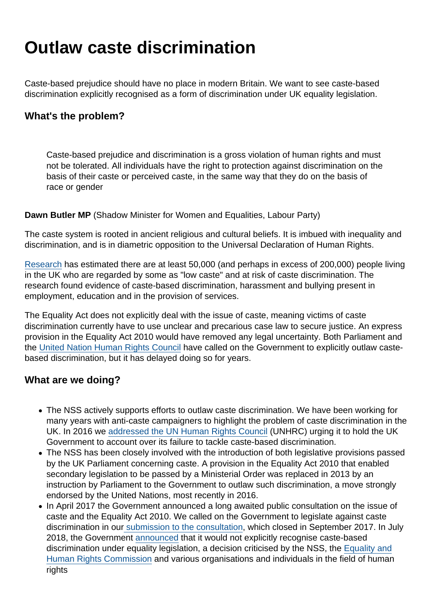## Outlaw caste discrimination

Caste-based prejudice should have no place in modern Britain. We want to see caste-based discrimination explicitly recognised as a form of discrimination under UK equality legislation.

What's the problem?

Caste-based prejudice and discrimination is a gross violation of human rights and must not be tolerated. All individuals have the right to protection against discrimination on the basis of their caste or perceived caste, in the same way that they do on the basis of race or gender

Dawn Butler MP (Shadow Minister for Women and Equalities, Labour Party)

The caste system is rooted in ancient religious and cultural beliefs. It is imbued with inequality and discrimination, and is in diametric opposition to the Universal Declaration of Human Rights.

[Research](https://www.gov.uk/government/uploads/system/uploads/attachment_data/file/85522/caste-discrimination.pdf?view=Binary) has estimated there are at least 50,000 (and perhaps in excess of 200,000) people living in the UK who are regarded by some as "low caste" and at risk of caste discrimination. The research found evidence of caste-based discrimination, harassment and bullying present in employment, education and in the provision of services.

The Equality Act does not explicitly deal with the issue of caste, meaning victims of caste discrimination currently have to use unclear and precarious case law to secure justice. An express provision in the Equality Act 2010 would have removed any legal uncertainty. Both Parliament and the [United Nation Human Rights Council](https://www.secularism.org.uk/uploads/united-nations-upr-recommendation-on-caste.pdf) have called on the Government to explicitly outlaw castebased discrimination, but it has delayed doing so for years.

What are we doing?

- The NSS actively supports efforts to outlaw caste discrimination. We have been working for many years with anti-caste campaigners to highlight the problem of caste discrimination in the UK. In 2016 we [addressed the UN Human Rights Council](https://www.secularism.org.uk/news/2016/09/nss-intervenes-at-un-human-rights-council-over-uk-failure-to-outlaw-caste-discrimination) (UNHRC) urging it to hold the UK Government to account over its failure to tackle caste-based discrimination.
- The NSS has been closely involved with the introduction of both legislative provisions passed by the UK Parliament concerning caste. A provision in the Equality Act 2010 that enabled secondary legislation to be passed by a Ministerial Order was replaced in 2013 by an instruction by Parliament to the Government to outlaw such discrimination, a move strongly endorsed by the United Nations, most recently in 2016.
- In April 2017 the Government announced a long awaited public consultation on the issue of caste and the Equality Act 2010. We called on the Government to legislate against caste discrimination in our [submission to the consultation,](https://www.secularism.org.uk/news/2017/09/nss-says-government-must-outlaw-caste-discrimination) which closed in September 2017. In July 2018, the Government [announced](https://www.secularism.org.uk/news/2018/07/nss-government-decision-not-to-outlaw-caste-discrimination-shows-callous-disregard-for-victims) that it would not explicitly recognise caste-based discrimination under equality legislation, a decision criticised by the NSS, the [Equality and](https://www.secularism.org.uk/news/2018/07/ehrc-reukes-government-over-failure-to-act-on-caste-discrimination) [Human Rights Commission](https://www.secularism.org.uk/news/2018/07/ehrc-reukes-government-over-failure-to-act-on-caste-discrimination) and various organisations and individuals in the field of human rights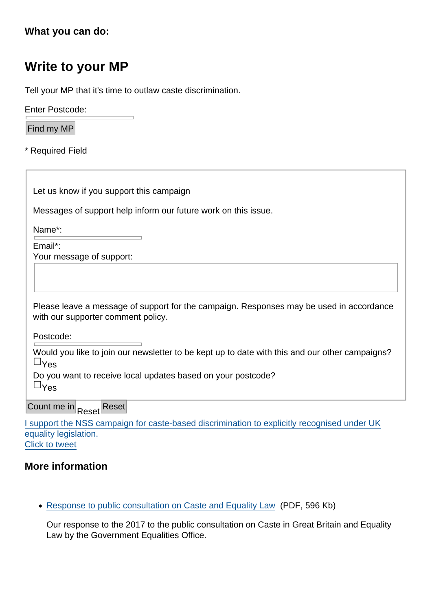[What you can do:](https://twitter.com/intent/tweet?url=https://www.secularism.org.uk/outlaw-caste-discrimination/&text=I+support+the+NSS+campaign+for+caste-based+discrimination+to+explicitly+recognised+under+UK+equality+legislation.&via=NatSecSoc&hashtags=Caste,EndCasteDiscrimination)

## Write to your MP

Tell your MP that it's time to outlaw caste discrimination.

Enter Postcode:

Find my MP

\* Required Field

Let us know if you support this campaign

Messages of support help inform our future work on this issue.

Name\*:

Email\*: Your message of support:

Please leave a message of support for the campaign. Responses may be used in accordance with our supporter comment policy.

Postcode:

Would you like to join our newsletter to be kept up to date with this and our other campaigns? &Yes

Do you want to receive local updates based on your postcode?  $&\vee$ <sub>AS</sub>

Count me in Reset Reset

I support the NSS campaign for caste-based discrimination to explicitly recognised under UK equality legislation. Click to tweet

More information

[Response to public consultation on Caste and Equality Law](https://www.secularism.org.uk/uploads/response-to-public-consultation-on-caste-and-equality-law.pdf?v=1507639543) (PDF, 596 Kb)

Our response to the 2017 to the public consultation on Caste in Great Britain and Equality Law by the Government Equalities Office.